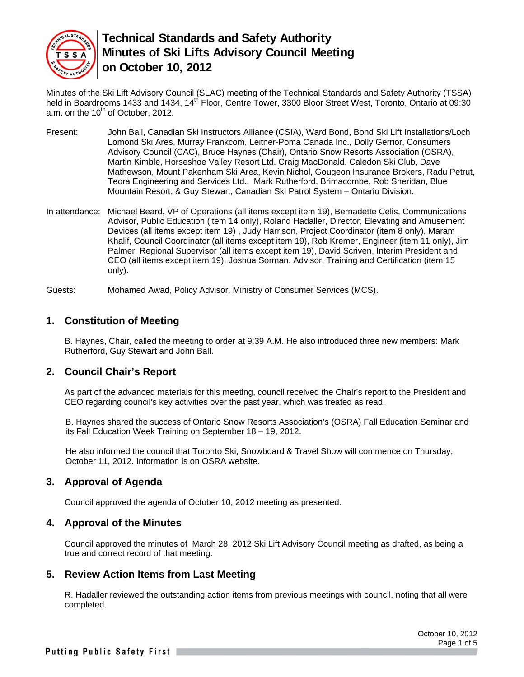

Minutes of the Ski Lift Advisory Council (SLAC) meeting of the Technical Standards and Safety Authority (TSSA) held in Boardrooms 1433 and 1434, 14<sup>th</sup> Floor, Centre Tower, 3300 Bloor Street West, Toronto, Ontario at 09:30 a.m. on the  $10^{th}$  of October, 2012.

- Present: John Ball, Canadian Ski Instructors Alliance (CSIA), Ward Bond, Bond Ski Lift Installations/Loch Lomond Ski Ares, Murray Frankcom, Leitner-Poma Canada Inc., Dolly Gerrior, Consumers Advisory Council (CAC), Bruce Haynes (Chair), Ontario Snow Resorts Association (OSRA), Martin Kimble, Horseshoe Valley Resort Ltd. Craig MacDonald, Caledon Ski Club, Dave Mathewson, Mount Pakenham Ski Area, Kevin Nichol, Gougeon Insurance Brokers, Radu Petrut, Teora Engineering and Services Ltd., Mark Rutherford, Brimacombe, Rob Sheridan, Blue Mountain Resort, & Guy Stewart, Canadian Ski Patrol System – Ontario Division.
- In attendance: Michael Beard, VP of Operations (all items except item 19), Bernadette Celis, Communications Advisor, Public Education (item 14 only), Roland Hadaller, Director, Elevating and Amusement Devices (all items except item 19) , Judy Harrison, Project Coordinator (item 8 only), Maram Khalif, Council Coordinator (all items except item 19), Rob Kremer, Engineer (item 11 only), Jim Palmer, Regional Supervisor (all items except item 19), David Scriven, Interim President and CEO (all items except item 19), Joshua Sorman, Advisor, Training and Certification (item 15 only).

Guests: Mohamed Awad, Policy Advisor, Ministry of Consumer Services (MCS).

#### **1. Constitution of Meeting**

B. Haynes, Chair, called the meeting to order at 9:39 A.M. He also introduced three new members: Mark Rutherford, Guy Stewart and John Ball.

#### **2. Council Chair's Report**

As part of the advanced materials for this meeting, council received the Chair's report to the President and CEO regarding council's key activities over the past year, which was treated as read.

B. Haynes shared the success of Ontario Snow Resorts Association's (OSRA) Fall Education Seminar and its Fall Education Week Training on September 18 – 19, 2012.

He also informed the council that Toronto Ski, Snowboard & Travel Show will commence on Thursday, October 11, 2012. Information is on OSRA website.

#### **3. Approval of Agenda**

Council approved the agenda of October 10, 2012 meeting as presented.

#### **4. Approval of the Minutes**

Council approved the minutes of March 28, 2012 Ski Lift Advisory Council meeting as drafted, as being a true and correct record of that meeting.

#### **5. Review Action Items from Last Meeting**

R. Hadaller reviewed the outstanding action items from previous meetings with council, noting that all were completed.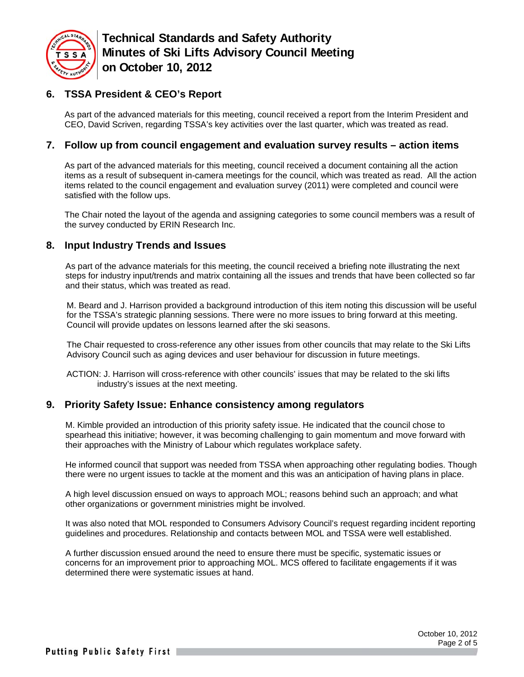

# **6. TSSA President & CEO's Report**

As part of the advanced materials for this meeting, council received a report from the Interim President and CEO, David Scriven, regarding TSSA's key activities over the last quarter, which was treated as read.

#### **7. Follow up from council engagement and evaluation survey results – action items**

As part of the advanced materials for this meeting, council received a document containing all the action items as a result of subsequent in-camera meetings for the council, which was treated as read. All the action items related to the council engagement and evaluation survey (2011) were completed and council were satisfied with the follow ups.

The Chair noted the layout of the agenda and assigning categories to some council members was a result of the survey conducted by ERIN Research Inc.

#### **8. Input Industry Trends and Issues**

As part of the advance materials for this meeting, the council received a briefing note illustrating the next steps for industry input/trends and matrix containing all the issues and trends that have been collected so far and their status, which was treated as read.

M. Beard and J. Harrison provided a background introduction of this item noting this discussion will be useful for the TSSA's strategic planning sessions. There were no more issues to bring forward at this meeting. Council will provide updates on lessons learned after the ski seasons.

The Chair requested to cross-reference any other issues from other councils that may relate to the Ski Lifts Advisory Council such as aging devices and user behaviour for discussion in future meetings.

ACTION: J. Harrison will cross-reference with other councils' issues that may be related to the ski lifts industry's issues at the next meeting.

#### **9. Priority Safety Issue: Enhance consistency among regulators**

M. Kimble provided an introduction of this priority safety issue. He indicated that the council chose to spearhead this initiative; however, it was becoming challenging to gain momentum and move forward with their approaches with the Ministry of Labour which regulates workplace safety.

He informed council that support was needed from TSSA when approaching other regulating bodies. Though there were no urgent issues to tackle at the moment and this was an anticipation of having plans in place.

A high level discussion ensued on ways to approach MOL; reasons behind such an approach; and what other organizations or government ministries might be involved.

It was also noted that MOL responded to Consumers Advisory Council's request regarding incident reporting guidelines and procedures. Relationship and contacts between MOL and TSSA were well established.

A further discussion ensued around the need to ensure there must be specific, systematic issues or concerns for an improvement prior to approaching MOL. MCS offered to facilitate engagements if it was determined there were systematic issues at hand.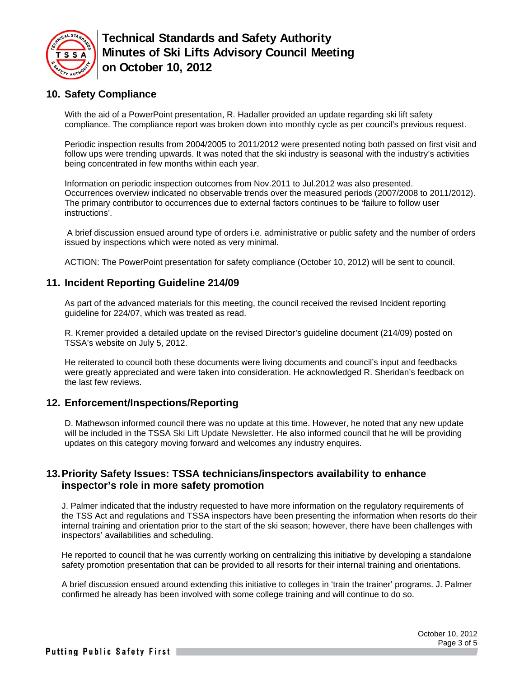

# **10. Safety Compliance**

With the aid of a PowerPoint presentation, R. Hadaller provided an update regarding ski lift safety compliance. The compliance report was broken down into monthly cycle as per council's previous request.

Periodic inspection results from 2004/2005 to 2011/2012 were presented noting both passed on first visit and follow ups were trending upwards. It was noted that the ski industry is seasonal with the industry's activities being concentrated in few months within each year.

Information on periodic inspection outcomes from Nov.2011 to Jul.2012 was also presented. Occurrences overview indicated no observable trends over the measured periods (2007/2008 to 2011/2012). The primary contributor to occurrences due to external factors continues to be 'failure to follow user instructions'.

 A brief discussion ensued around type of orders i.e. administrative or public safety and the number of orders issued by inspections which were noted as very minimal.

ACTION: The PowerPoint presentation for safety compliance (October 10, 2012) will be sent to council.

#### **11. Incident Reporting Guideline 214/09**

As part of the advanced materials for this meeting, the council received the revised Incident reporting guideline for 224/07, which was treated as read.

R. Kremer provided a detailed update on the revised Director's guideline document (214/09) posted on TSSA's website on July 5, 2012.

He reiterated to council both these documents were living documents and council's input and feedbacks were greatly appreciated and were taken into consideration. He acknowledged R. Sheridan's feedback on the last few reviews.

#### **12. Enforcement/Inspections/Reporting**

D. Mathewson informed council there was no update at this time. However, he noted that any new update will be included in the TSSA Ski Lift Update Newsletter. He also informed council that he will be providing updates on this category moving forward and welcomes any industry enquires.

## **13. Priority Safety Issues: TSSA technicians/inspectors availability to enhance inspector's role in more safety promotion**

J. Palmer indicated that the industry requested to have more information on the regulatory requirements of the TSS Act and regulations and TSSA inspectors have been presenting the information when resorts do their internal training and orientation prior to the start of the ski season; however, there have been challenges with inspectors' availabilities and scheduling.

He reported to council that he was currently working on centralizing this initiative by developing a standalone safety promotion presentation that can be provided to all resorts for their internal training and orientations.

A brief discussion ensued around extending this initiative to colleges in 'train the trainer' programs. J. Palmer confirmed he already has been involved with some college training and will continue to do so.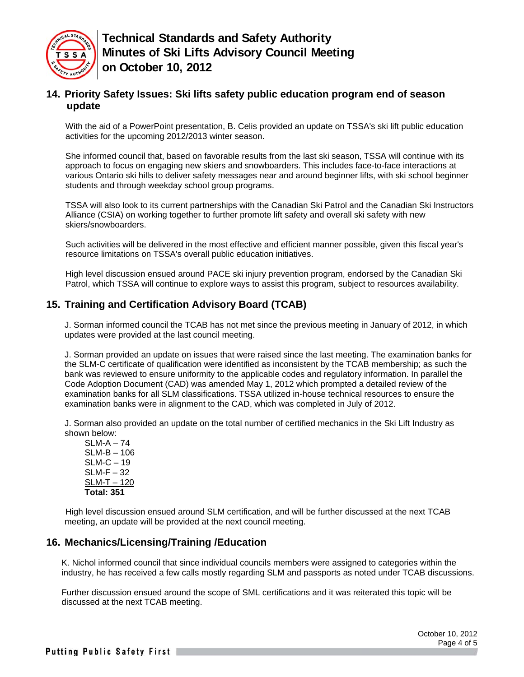

## **14. Priority Safety Issues: Ski lifts safety public education program end of season update**

With the aid of a PowerPoint presentation, B. Celis provided an update on TSSA's ski lift public education activities for the upcoming 2012/2013 winter season.

She informed council that, based on favorable results from the last ski season, TSSA will continue with its approach to focus on engaging new skiers and snowboarders. This includes face-to-face interactions at various Ontario ski hills to deliver safety messages near and around beginner lifts, with ski school beginner students and through weekday school group programs.

TSSA will also look to its current partnerships with the Canadian Ski Patrol and the Canadian Ski Instructors Alliance (CSIA) on working together to further promote lift safety and overall ski safety with new skiers/snowboarders.

Such activities will be delivered in the most effective and efficient manner possible, given this fiscal year's resource limitations on TSSA's overall public education initiatives.

High level discussion ensued around PACE ski injury prevention program, endorsed by the Canadian Ski Patrol, which TSSA will continue to explore ways to assist this program, subject to resources availability.

#### **15. Training and Certification Advisory Board (TCAB)**

J. Sorman informed council the TCAB has not met since the previous meeting in January of 2012, in which updates were provided at the last council meeting.

J. Sorman provided an update on issues that were raised since the last meeting. The examination banks for the SLM-C certificate of qualification were identified as inconsistent by the TCAB membership; as such the bank was reviewed to ensure uniformity to the applicable codes and regulatory information. In parallel the Code Adoption Document (CAD) was amended May 1, 2012 which prompted a detailed review of the examination banks for all SLM classifications. TSSA utilized in-house technical resources to ensure the examination banks were in alignment to the CAD, which was completed in July of 2012.

J. Sorman also provided an update on the total number of certified mechanics in the Ski Lift Industry as shown below:

 SLM-A – 74 SLM-B – 106 SLM-C – 19 SLM-F – 32 SLM-T – 120 **Total: 351** 

 High level discussion ensued around SLM certification, and will be further discussed at the next TCAB meeting, an update will be provided at the next council meeting.

#### **16. Mechanics/Licensing/Training /Education**

K. Nichol informed council that since individual councils members were assigned to categories within the industry, he has received a few calls mostly regarding SLM and passports as noted under TCAB discussions.

Further discussion ensued around the scope of SML certifications and it was reiterated this topic will be discussed at the next TCAB meeting.